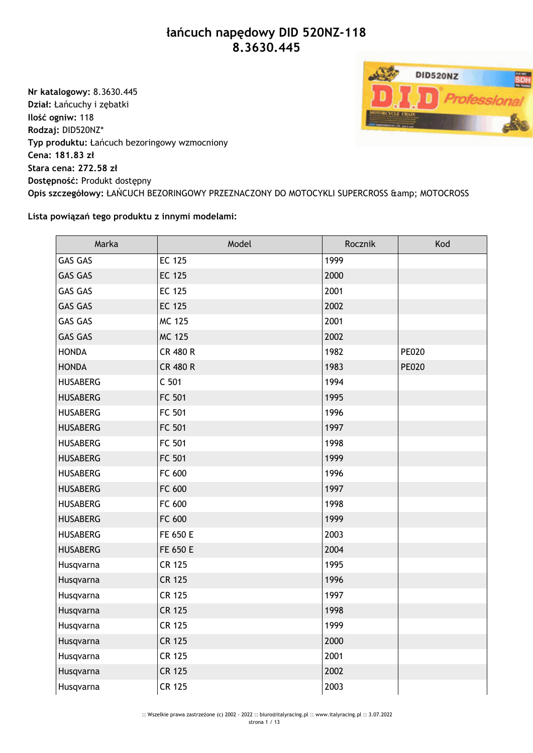## **łańcuch napędowy DID 520NZ-118 8.3630.445**

**Nr katalogowy:** 8.3630.445 **Dział:** Łańcuchy i zębatki **Ilość ogniw:** 118 **Rodzaj:** DID520NZ\* **Typ produktu:** Łańcuch bezoringowy wzmocniony **Cena: 181.83 zł Stara cena: 272.58 zł Dostępność:** Produkt dostępny Opis szczegółowy: ŁAŃCUCH BEZORINGOWY PRZEZNACZONY DO MOTOCYKLI SUPERCROSS & amp; MOTOCROSS

## **Lista powiązań tego produktu z innymi modelami:**

| Marka           | Model            | Rocznik | Kod          |
|-----------------|------------------|---------|--------------|
| <b>GAS GAS</b>  | <b>EC 125</b>    | 1999    |              |
| <b>GAS GAS</b>  | <b>EC 125</b>    | 2000    |              |
| <b>GAS GAS</b>  | <b>EC 125</b>    | 2001    |              |
| <b>GAS GAS</b>  | <b>EC 125</b>    | 2002    |              |
| <b>GAS GAS</b>  | <b>MC 125</b>    | 2001    |              |
| <b>GAS GAS</b>  | <b>MC 125</b>    | 2002    |              |
| <b>HONDA</b>    | <b>CR 480 R</b>  | 1982    | <b>PE020</b> |
| <b>HONDA</b>    | <b>CR 480 R</b>  | 1983    | <b>PE020</b> |
| <b>HUSABERG</b> | C <sub>501</sub> | 1994    |              |
| <b>HUSABERG</b> | FC 501           | 1995    |              |
| <b>HUSABERG</b> | FC 501           | 1996    |              |
| <b>HUSABERG</b> | FC 501           | 1997    |              |
| <b>HUSABERG</b> | FC 501           | 1998    |              |
| <b>HUSABERG</b> | FC 501           | 1999    |              |
| <b>HUSABERG</b> | FC 600           | 1996    |              |
| <b>HUSABERG</b> | FC 600           | 1997    |              |
| <b>HUSABERG</b> | FC 600           | 1998    |              |
| <b>HUSABERG</b> | FC 600           | 1999    |              |
| <b>HUSABERG</b> | FE 650 E         | 2003    |              |
| <b>HUSABERG</b> | FE 650 E         | 2004    |              |
| Husqvarna       | <b>CR 125</b>    | 1995    |              |
| Husqvarna       | <b>CR 125</b>    | 1996    |              |
| Husqvarna       | <b>CR 125</b>    | 1997    |              |
| Husqvarna       | <b>CR 125</b>    | 1998    |              |
| Husqvarna       | <b>CR 125</b>    | 1999    |              |
| Husqvarna       | <b>CR 125</b>    | 2000    |              |
| Husqvarna       | <b>CR 125</b>    | 2001    |              |
| Husqvarna       | <b>CR 125</b>    | 2002    |              |
| Husqvarna       | <b>CR 125</b>    | 2003    |              |

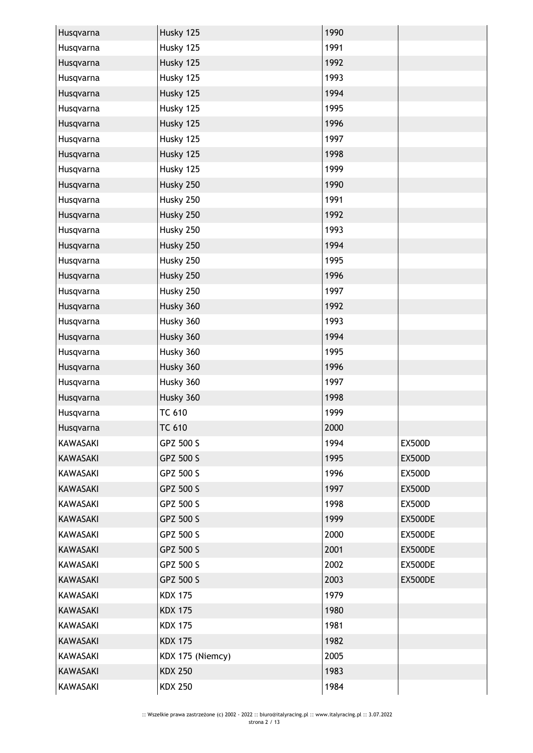| Husqvarna       | Husky 125        | 1990 |               |
|-----------------|------------------|------|---------------|
| Husqvarna       | Husky 125        | 1991 |               |
| Husqvarna       | Husky 125        | 1992 |               |
| Husqvarna       | Husky 125        | 1993 |               |
| Husqvarna       | Husky 125        | 1994 |               |
| Husqvarna       | Husky 125        | 1995 |               |
| Husqvarna       | Husky 125        | 1996 |               |
| Husqvarna       | Husky 125        | 1997 |               |
| Husqvarna       | Husky 125        | 1998 |               |
| Husqvarna       | Husky 125        | 1999 |               |
| Husqvarna       | Husky 250        | 1990 |               |
| Husqvarna       | Husky 250        | 1991 |               |
| Husqvarna       | Husky 250        | 1992 |               |
| Husqvarna       | Husky 250        | 1993 |               |
| Husqvarna       | Husky 250        | 1994 |               |
| Husqvarna       | Husky 250        | 1995 |               |
| Husqvarna       | Husky 250        | 1996 |               |
| Husqvarna       | Husky 250        | 1997 |               |
| Husqvarna       | Husky 360        | 1992 |               |
| Husqvarna       | Husky 360        | 1993 |               |
| Husqvarna       | Husky 360        | 1994 |               |
| Husqvarna       | Husky 360        | 1995 |               |
| Husqvarna       | Husky 360        | 1996 |               |
| Husqvarna       | Husky 360        | 1997 |               |
| Husqvarna       | Husky 360        | 1998 |               |
| Husqvarna       | <b>TC 610</b>    | 1999 |               |
| Husqvarna       | <b>TC 610</b>    | 2000 |               |
| <b>KAWASAKI</b> | GPZ 500 S        | 1994 | <b>EX500D</b> |
| <b>KAWASAKI</b> | GPZ 500 S        | 1995 | <b>EX500D</b> |
| <b>KAWASAKI</b> | GPZ 500 S        | 1996 | <b>EX500D</b> |
| <b>KAWASAKI</b> | GPZ 500 S        | 1997 | <b>EX500D</b> |
| <b>KAWASAKI</b> | GPZ 500 S        | 1998 | <b>EX500D</b> |
| <b>KAWASAKI</b> | GPZ 500 S        | 1999 | EX500DE       |
| KAWASAKI        | GPZ 500 S        | 2000 | EX500DE       |
| <b>KAWASAKI</b> | GPZ 500 S        | 2001 | EX500DE       |
| <b>KAWASAKI</b> | GPZ 500 S        | 2002 | EX500DE       |
| <b>KAWASAKI</b> | GPZ 500 S        | 2003 | EX500DE       |
| <b>KAWASAKI</b> | <b>KDX 175</b>   | 1979 |               |
| <b>KAWASAKI</b> | <b>KDX 175</b>   | 1980 |               |
| <b>KAWASAKI</b> | <b>KDX 175</b>   | 1981 |               |
| KAWASAKI        | <b>KDX 175</b>   | 1982 |               |
| <b>KAWASAKI</b> | KDX 175 (Niemcy) | 2005 |               |
| <b>KAWASAKI</b> | <b>KDX 250</b>   | 1983 |               |
| <b>KAWASAKI</b> | <b>KDX 250</b>   | 1984 |               |
|                 |                  |      |               |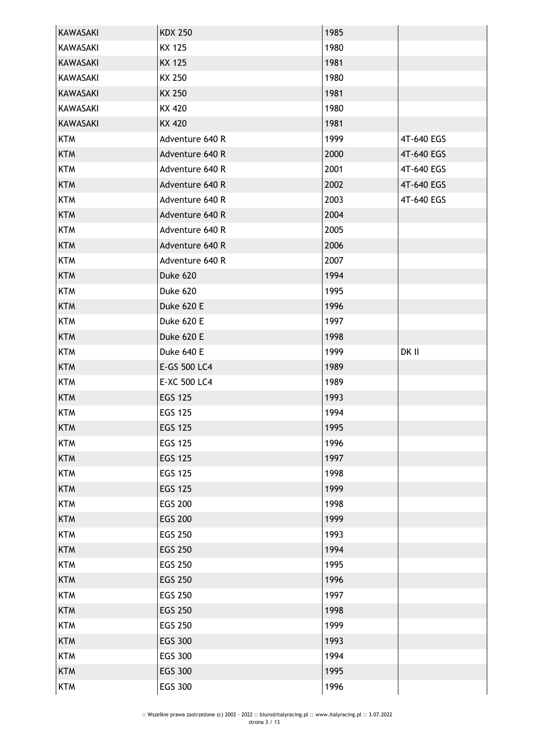| <b>KAWASAKI</b> | <b>KDX 250</b>  | 1985 |            |
|-----------------|-----------------|------|------------|
| KAWASAKI        | <b>KX 125</b>   | 1980 |            |
| <b>KAWASAKI</b> | <b>KX 125</b>   | 1981 |            |
| KAWASAKI        | KX 250          | 1980 |            |
| <b>KAWASAKI</b> | <b>KX 250</b>   | 1981 |            |
| KAWASAKI        | KX 420          | 1980 |            |
| KAWASAKI        | <b>KX 420</b>   | 1981 |            |
| <b>KTM</b>      | Adventure 640 R | 1999 | 4T-640 EGS |
| <b>KTM</b>      | Adventure 640 R | 2000 | 4T-640 EGS |
| <b>KTM</b>      | Adventure 640 R | 2001 | 4T-640 EGS |
| <b>KTM</b>      | Adventure 640 R | 2002 | 4T-640 EGS |
| <b>KTM</b>      | Adventure 640 R | 2003 | 4T-640 EGS |
| <b>KTM</b>      | Adventure 640 R | 2004 |            |
| <b>KTM</b>      | Adventure 640 R | 2005 |            |
| <b>KTM</b>      | Adventure 640 R | 2006 |            |
| <b>KTM</b>      | Adventure 640 R | 2007 |            |
| <b>KTM</b>      | Duke 620        | 1994 |            |
| <b>KTM</b>      | Duke 620        | 1995 |            |
| <b>KTM</b>      | Duke 620 E      | 1996 |            |
| <b>KTM</b>      | Duke 620 E      | 1997 |            |
| <b>KTM</b>      | Duke 620 E      | 1998 |            |
| <b>KTM</b>      | Duke 640 E      | 1999 | DK II      |
| <b>KTM</b>      | E-GS 500 LC4    | 1989 |            |
| <b>KTM</b>      | E-XC 500 LC4    | 1989 |            |
| <b>KTM</b>      | <b>EGS 125</b>  | 1993 |            |
| <b>KTM</b>      | <b>EGS 125</b>  | 1994 |            |
| <b>KTM</b>      | <b>EGS 125</b>  | 1995 |            |
| <b>KTM</b>      | <b>EGS 125</b>  | 1996 |            |
| <b>KTM</b>      | <b>EGS 125</b>  | 1997 |            |
| <b>KTM</b>      | <b>EGS 125</b>  | 1998 |            |
| <b>KTM</b>      | <b>EGS 125</b>  | 1999 |            |
| <b>KTM</b>      | <b>EGS 200</b>  | 1998 |            |
| <b>KTM</b>      | <b>EGS 200</b>  | 1999 |            |
| <b>KTM</b>      | <b>EGS 250</b>  | 1993 |            |
| <b>KTM</b>      | <b>EGS 250</b>  | 1994 |            |
| <b>KTM</b>      | <b>EGS 250</b>  | 1995 |            |
| <b>KTM</b>      | <b>EGS 250</b>  | 1996 |            |
| <b>KTM</b>      | <b>EGS 250</b>  | 1997 |            |
| <b>KTM</b>      | <b>EGS 250</b>  | 1998 |            |
| <b>KTM</b>      | <b>EGS 250</b>  | 1999 |            |
| <b>KTM</b>      | <b>EGS 300</b>  | 1993 |            |
| <b>KTM</b>      | <b>EGS 300</b>  | 1994 |            |
| <b>KTM</b>      | <b>EGS 300</b>  | 1995 |            |
| <b>KTM</b>      | EGS 300         | 1996 |            |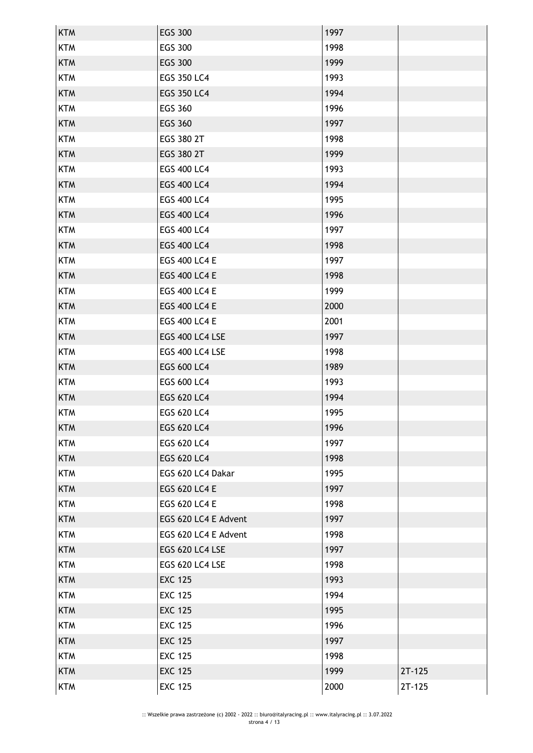| <b>KTM</b> | <b>EGS 300</b>         | 1997 |          |
|------------|------------------------|------|----------|
| <b>KTM</b> | <b>EGS 300</b>         | 1998 |          |
| <b>KTM</b> | <b>EGS 300</b>         | 1999 |          |
| <b>KTM</b> | <b>EGS 350 LC4</b>     | 1993 |          |
| <b>KTM</b> | <b>EGS 350 LC4</b>     | 1994 |          |
| <b>KTM</b> | <b>EGS 360</b>         | 1996 |          |
| <b>KTM</b> | <b>EGS 360</b>         | 1997 |          |
| <b>KTM</b> | EGS 380 2T             | 1998 |          |
| <b>KTM</b> | EGS 380 2T             | 1999 |          |
| <b>KTM</b> | <b>EGS 400 LC4</b>     | 1993 |          |
| <b>KTM</b> | <b>EGS 400 LC4</b>     | 1994 |          |
| <b>KTM</b> | EGS 400 LC4            | 1995 |          |
| <b>KTM</b> | <b>EGS 400 LC4</b>     | 1996 |          |
| <b>KTM</b> | <b>EGS 400 LC4</b>     | 1997 |          |
| <b>KTM</b> | <b>EGS 400 LC4</b>     | 1998 |          |
| <b>KTM</b> | <b>EGS 400 LC4 E</b>   | 1997 |          |
| <b>KTM</b> | <b>EGS 400 LC4 E</b>   | 1998 |          |
| <b>KTM</b> | <b>EGS 400 LC4 E</b>   | 1999 |          |
| <b>KTM</b> | <b>EGS 400 LC4 E</b>   | 2000 |          |
| <b>KTM</b> | <b>EGS 400 LC4 E</b>   | 2001 |          |
| <b>KTM</b> | EGS 400 LC4 LSE        | 1997 |          |
| <b>KTM</b> | EGS 400 LC4 LSE        | 1998 |          |
| <b>KTM</b> | EGS 600 LC4            | 1989 |          |
| <b>KTM</b> | <b>EGS 600 LC4</b>     | 1993 |          |
| <b>KTM</b> | <b>EGS 620 LC4</b>     | 1994 |          |
| <b>KTM</b> | EGS 620 LC4            | 1995 |          |
| <b>KTM</b> | EGS 620 LC4            | 1996 |          |
| <b>KTM</b> | EGS 620 LC4            | 1997 |          |
| <b>KTM</b> | <b>EGS 620 LC4</b>     | 1998 |          |
| <b>KTM</b> | EGS 620 LC4 Dakar      | 1995 |          |
| <b>KTM</b> | <b>EGS 620 LC4 E</b>   | 1997 |          |
| <b>KTM</b> | EGS 620 LC4 E          | 1998 |          |
| <b>KTM</b> | EGS 620 LC4 E Advent   | 1997 |          |
| <b>KTM</b> | EGS 620 LC4 E Advent   | 1998 |          |
| <b>KTM</b> | <b>EGS 620 LC4 LSE</b> | 1997 |          |
| <b>KTM</b> | <b>EGS 620 LC4 LSE</b> | 1998 |          |
| <b>KTM</b> | <b>EXC 125</b>         | 1993 |          |
| <b>KTM</b> | <b>EXC 125</b>         | 1994 |          |
| <b>KTM</b> | <b>EXC 125</b>         | 1995 |          |
| <b>KTM</b> | <b>EXC 125</b>         | 1996 |          |
| <b>KTM</b> | <b>EXC 125</b>         | 1997 |          |
| <b>KTM</b> | <b>EXC 125</b>         | 1998 |          |
| <b>KTM</b> | <b>EXC 125</b>         | 1999 | $2T-125$ |
| <b>KTM</b> | <b>EXC 125</b>         | 2000 | $2T-125$ |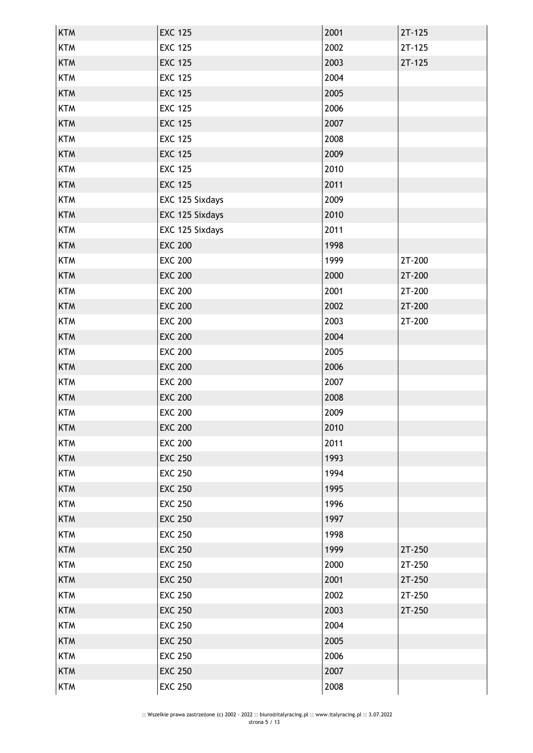| <b>KTM</b> | <b>EXC 125</b>  | 2001 | $2T-125$ |
|------------|-----------------|------|----------|
| <b>KTM</b> | <b>EXC 125</b>  | 2002 | $2T-125$ |
| <b>KTM</b> | <b>EXC 125</b>  | 2003 | $2T-125$ |
| <b>KTM</b> | <b>EXC 125</b>  | 2004 |          |
| <b>KTM</b> | <b>EXC 125</b>  | 2005 |          |
| <b>KTM</b> | <b>EXC 125</b>  | 2006 |          |
| <b>KTM</b> | <b>EXC 125</b>  | 2007 |          |
| <b>KTM</b> | <b>EXC 125</b>  | 2008 |          |
| <b>KTM</b> | <b>EXC 125</b>  | 2009 |          |
| <b>KTM</b> | <b>EXC 125</b>  | 2010 |          |
| <b>KTM</b> | <b>EXC 125</b>  | 2011 |          |
| <b>KTM</b> | EXC 125 Sixdays | 2009 |          |
| <b>KTM</b> | EXC 125 Sixdays | 2010 |          |
| <b>KTM</b> | EXC 125 Sixdays | 2011 |          |
| <b>KTM</b> | <b>EXC 200</b>  | 1998 |          |
| <b>KTM</b> | <b>EXC 200</b>  | 1999 | 2T-200   |
| <b>KTM</b> | <b>EXC 200</b>  | 2000 | 2T-200   |
| <b>KTM</b> | <b>EXC 200</b>  | 2001 | 2T-200   |
| <b>KTM</b> | <b>EXC 200</b>  | 2002 | 2T-200   |
| <b>KTM</b> | <b>EXC 200</b>  | 2003 | 2T-200   |
| <b>KTM</b> | <b>EXC 200</b>  | 2004 |          |
| <b>KTM</b> | <b>EXC 200</b>  | 2005 |          |
| <b>KTM</b> | <b>EXC 200</b>  | 2006 |          |
| <b>KTM</b> | <b>EXC 200</b>  | 2007 |          |
| <b>KTM</b> | <b>EXC 200</b>  | 2008 |          |
| <b>KTM</b> | <b>EXC 200</b>  | 2009 |          |
| <b>KTM</b> | <b>EXC 200</b>  | 2010 |          |
| <b>KTM</b> | <b>EXC 200</b>  | 2011 |          |
| <b>KTM</b> | <b>EXC 250</b>  | 1993 |          |
| <b>KTM</b> | <b>EXC 250</b>  | 1994 |          |
| <b>KTM</b> | <b>EXC 250</b>  | 1995 |          |
| <b>KTM</b> | <b>EXC 250</b>  | 1996 |          |
| <b>KTM</b> | <b>EXC 250</b>  | 1997 |          |
| <b>KTM</b> | <b>EXC 250</b>  | 1998 |          |
| <b>KTM</b> | <b>EXC 250</b>  | 1999 | 2T-250   |
| <b>KTM</b> | <b>EXC 250</b>  | 2000 | 2T-250   |
| <b>KTM</b> | <b>EXC 250</b>  | 2001 | 2T-250   |
| <b>KTM</b> | <b>EXC 250</b>  | 2002 | 2T-250   |
| <b>KTM</b> | <b>EXC 250</b>  | 2003 | 2T-250   |
| <b>KTM</b> | <b>EXC 250</b>  | 2004 |          |
| <b>KTM</b> | <b>EXC 250</b>  | 2005 |          |
| <b>KTM</b> | <b>EXC 250</b>  | 2006 |          |
| <b>KTM</b> | <b>EXC 250</b>  | 2007 |          |
| <b>KTM</b> | <b>EXC 250</b>  | 2008 |          |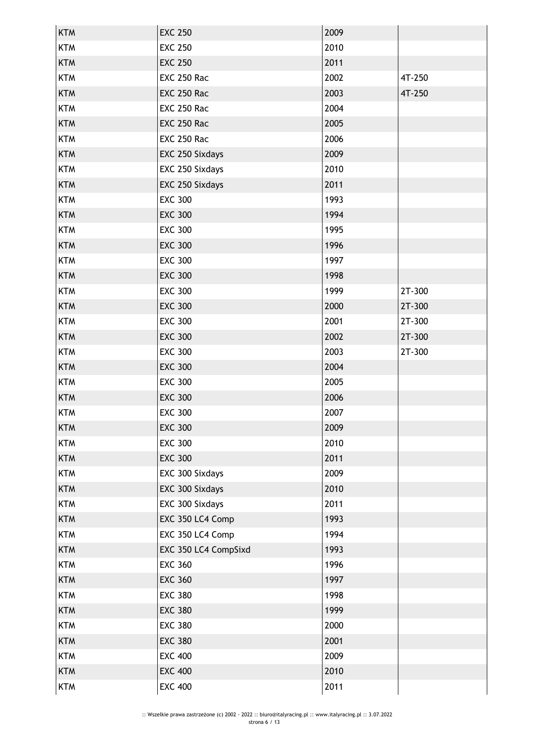| <b>KTM</b> | <b>EXC 250</b>       | 2009 |        |
|------------|----------------------|------|--------|
| <b>KTM</b> | <b>EXC 250</b>       | 2010 |        |
| <b>KTM</b> | <b>EXC 250</b>       | 2011 |        |
| <b>KTM</b> | <b>EXC 250 Rac</b>   | 2002 | 4T-250 |
| <b>KTM</b> | <b>EXC 250 Rac</b>   | 2003 | 4T-250 |
| <b>KTM</b> | <b>EXC 250 Rac</b>   | 2004 |        |
| <b>KTM</b> | <b>EXC 250 Rac</b>   | 2005 |        |
| <b>KTM</b> | <b>EXC 250 Rac</b>   | 2006 |        |
| <b>KTM</b> | EXC 250 Sixdays      | 2009 |        |
| <b>KTM</b> | EXC 250 Sixdays      | 2010 |        |
| <b>KTM</b> | EXC 250 Sixdays      | 2011 |        |
| <b>KTM</b> | <b>EXC 300</b>       | 1993 |        |
| <b>KTM</b> | <b>EXC 300</b>       | 1994 |        |
| <b>KTM</b> | <b>EXC 300</b>       | 1995 |        |
| <b>KTM</b> | <b>EXC 300</b>       | 1996 |        |
| <b>KTM</b> | <b>EXC 300</b>       | 1997 |        |
| <b>KTM</b> | <b>EXC 300</b>       | 1998 |        |
| <b>KTM</b> | <b>EXC 300</b>       | 1999 | 2T-300 |
| <b>KTM</b> | <b>EXC 300</b>       | 2000 | 2T-300 |
| <b>KTM</b> | <b>EXC 300</b>       | 2001 | 2T-300 |
| <b>KTM</b> | <b>EXC 300</b>       | 2002 | 2T-300 |
| <b>KTM</b> | <b>EXC 300</b>       | 2003 | 2T-300 |
| <b>KTM</b> | <b>EXC 300</b>       | 2004 |        |
| <b>KTM</b> | <b>EXC 300</b>       | 2005 |        |
| <b>KTM</b> | <b>EXC 300</b>       | 2006 |        |
| <b>KTM</b> | <b>EXC 300</b>       | 2007 |        |
| <b>KTM</b> | <b>EXC 300</b>       | 2009 |        |
| <b>KTM</b> | <b>EXC 300</b>       | 2010 |        |
| <b>KTM</b> | <b>EXC 300</b>       | 2011 |        |
| <b>KTM</b> | EXC 300 Sixdays      | 2009 |        |
| <b>KTM</b> | EXC 300 Sixdays      | 2010 |        |
| <b>KTM</b> | EXC 300 Sixdays      | 2011 |        |
| <b>KTM</b> | EXC 350 LC4 Comp     | 1993 |        |
| <b>KTM</b> | EXC 350 LC4 Comp     | 1994 |        |
| <b>KTM</b> | EXC 350 LC4 CompSixd | 1993 |        |
| <b>KTM</b> | <b>EXC 360</b>       | 1996 |        |
| <b>KTM</b> | <b>EXC 360</b>       | 1997 |        |
| <b>KTM</b> | <b>EXC 380</b>       | 1998 |        |
| <b>KTM</b> | <b>EXC 380</b>       | 1999 |        |
| <b>KTM</b> | <b>EXC 380</b>       | 2000 |        |
| <b>KTM</b> | <b>EXC 380</b>       | 2001 |        |
| <b>KTM</b> | <b>EXC 400</b>       | 2009 |        |
| <b>KTM</b> | <b>EXC 400</b>       | 2010 |        |
| <b>KTM</b> | <b>EXC 400</b>       | 2011 |        |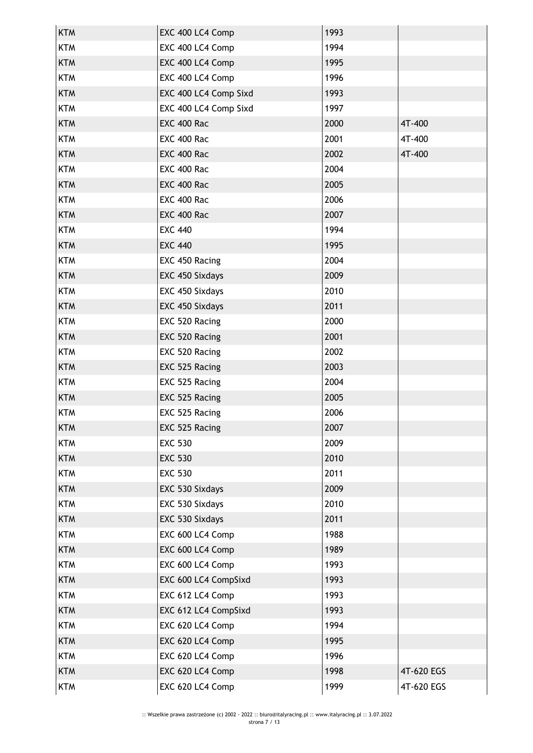| <b>KTM</b> | EXC 400 LC4 Comp      | 1993 |            |
|------------|-----------------------|------|------------|
| <b>KTM</b> | EXC 400 LC4 Comp      | 1994 |            |
| <b>KTM</b> | EXC 400 LC4 Comp      | 1995 |            |
| <b>KTM</b> | EXC 400 LC4 Comp      | 1996 |            |
| <b>KTM</b> | EXC 400 LC4 Comp Sixd | 1993 |            |
| <b>KTM</b> | EXC 400 LC4 Comp Sixd | 1997 |            |
| <b>KTM</b> | <b>EXC 400 Rac</b>    | 2000 | 4T-400     |
| <b>KTM</b> | EXC 400 Rac           | 2001 | 4T-400     |
| <b>KTM</b> | EXC 400 Rac           | 2002 | 4T-400     |
| <b>KTM</b> | <b>EXC 400 Rac</b>    | 2004 |            |
| <b>KTM</b> | EXC 400 Rac           | 2005 |            |
| <b>KTM</b> | EXC 400 Rac           | 2006 |            |
| <b>KTM</b> | EXC 400 Rac           | 2007 |            |
| <b>KTM</b> | <b>EXC 440</b>        | 1994 |            |
| <b>KTM</b> | <b>EXC 440</b>        | 1995 |            |
| <b>KTM</b> | EXC 450 Racing        | 2004 |            |
| <b>KTM</b> | EXC 450 Sixdays       | 2009 |            |
| <b>KTM</b> | EXC 450 Sixdays       | 2010 |            |
| <b>KTM</b> | EXC 450 Sixdays       | 2011 |            |
| <b>KTM</b> | EXC 520 Racing        | 2000 |            |
| <b>KTM</b> | EXC 520 Racing        | 2001 |            |
| <b>KTM</b> | EXC 520 Racing        | 2002 |            |
| <b>KTM</b> | EXC 525 Racing        | 2003 |            |
| <b>KTM</b> | EXC 525 Racing        | 2004 |            |
| <b>KTM</b> | EXC 525 Racing        | 2005 |            |
| <b>KTM</b> | EXC 525 Racing        | 2006 |            |
| <b>KTM</b> | EXC 525 Racing        | 2007 |            |
| <b>KTM</b> | <b>EXC 530</b>        | 2009 |            |
| <b>KTM</b> | <b>EXC 530</b>        | 2010 |            |
| <b>KTM</b> | <b>EXC 530</b>        | 2011 |            |
| <b>KTM</b> | EXC 530 Sixdays       | 2009 |            |
| <b>KTM</b> | EXC 530 Sixdays       | 2010 |            |
| <b>KTM</b> | EXC 530 Sixdays       | 2011 |            |
| <b>KTM</b> | EXC 600 LC4 Comp      | 1988 |            |
| <b>KTM</b> | EXC 600 LC4 Comp      | 1989 |            |
| <b>KTM</b> | EXC 600 LC4 Comp      | 1993 |            |
| <b>KTM</b> | EXC 600 LC4 CompSixd  | 1993 |            |
| <b>KTM</b> | EXC 612 LC4 Comp      | 1993 |            |
| <b>KTM</b> | EXC 612 LC4 CompSixd  | 1993 |            |
| <b>KTM</b> | EXC 620 LC4 Comp      | 1994 |            |
| <b>KTM</b> | EXC 620 LC4 Comp      | 1995 |            |
| <b>KTM</b> | EXC 620 LC4 Comp      | 1996 |            |
| <b>KTM</b> | EXC 620 LC4 Comp      | 1998 | 4T-620 EGS |
| <b>KTM</b> | EXC 620 LC4 Comp      | 1999 | 4T-620 EGS |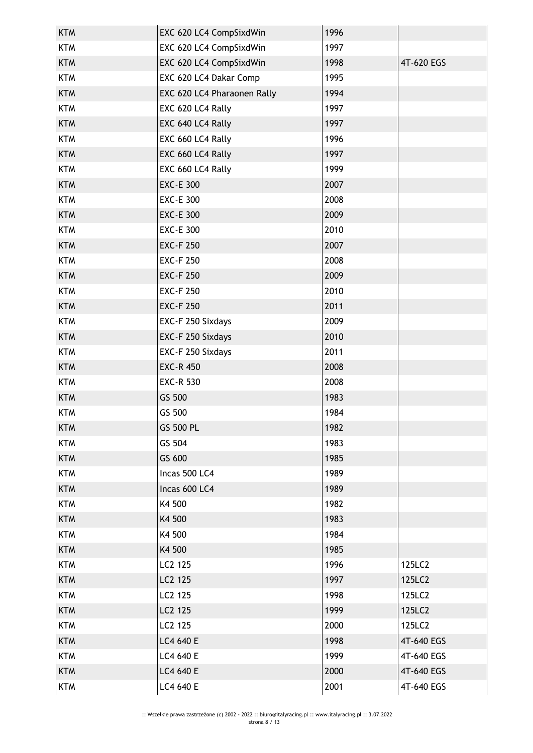| <b>KTM</b> | EXC 620 LC4 CompSixdWin     | 1996 |            |
|------------|-----------------------------|------|------------|
| <b>KTM</b> | EXC 620 LC4 CompSixdWin     | 1997 |            |
| <b>KTM</b> | EXC 620 LC4 CompSixdWin     | 1998 | 4T-620 EGS |
| <b>KTM</b> | EXC 620 LC4 Dakar Comp      | 1995 |            |
| <b>KTM</b> | EXC 620 LC4 Pharaonen Rally | 1994 |            |
| <b>KTM</b> | EXC 620 LC4 Rally           | 1997 |            |
| <b>KTM</b> | EXC 640 LC4 Rally           | 1997 |            |
| <b>KTM</b> | EXC 660 LC4 Rally           | 1996 |            |
| <b>KTM</b> | EXC 660 LC4 Rally           | 1997 |            |
| <b>KTM</b> | EXC 660 LC4 Rally           | 1999 |            |
| <b>KTM</b> | <b>EXC-E 300</b>            | 2007 |            |
| <b>KTM</b> | <b>EXC-E 300</b>            | 2008 |            |
| <b>KTM</b> | <b>EXC-E 300</b>            | 2009 |            |
| <b>KTM</b> | <b>EXC-E 300</b>            | 2010 |            |
| <b>KTM</b> | <b>EXC-F 250</b>            | 2007 |            |
| <b>KTM</b> | <b>EXC-F 250</b>            | 2008 |            |
| <b>KTM</b> | <b>EXC-F 250</b>            | 2009 |            |
| <b>KTM</b> | <b>EXC-F 250</b>            | 2010 |            |
| <b>KTM</b> | <b>EXC-F 250</b>            | 2011 |            |
| <b>KTM</b> | EXC-F 250 Sixdays           | 2009 |            |
| <b>KTM</b> | EXC-F 250 Sixdays           | 2010 |            |
| <b>KTM</b> | EXC-F 250 Sixdays           | 2011 |            |
| <b>KTM</b> | <b>EXC-R 450</b>            | 2008 |            |
| <b>KTM</b> | <b>EXC-R 530</b>            | 2008 |            |
| <b>KTM</b> | GS 500                      | 1983 |            |
| <b>KTM</b> | GS 500                      | 1984 |            |
| <b>KTM</b> | GS 500 PL                   | 1982 |            |
| <b>KTM</b> | GS 504                      | 1983 |            |
| <b>KTM</b> | GS 600                      | 1985 |            |
| <b>KTM</b> | Incas 500 LC4               | 1989 |            |
| <b>KTM</b> | Incas 600 LC4               | 1989 |            |
| <b>KTM</b> | K4 500                      | 1982 |            |
| <b>KTM</b> | K4 500                      | 1983 |            |
| <b>KTM</b> | K4 500                      | 1984 |            |
| <b>KTM</b> | K4 500                      | 1985 |            |
| <b>KTM</b> | LC2 125                     | 1996 | 125LC2     |
| <b>KTM</b> | LC2 125                     | 1997 | 125LC2     |
| <b>KTM</b> | LC2 125                     | 1998 | 125LC2     |
| <b>KTM</b> | LC2 125                     | 1999 | 125LC2     |
| <b>KTM</b> | LC2 125                     | 2000 | 125LC2     |
| <b>KTM</b> | LC4 640 E                   | 1998 | 4T-640 EGS |
| <b>KTM</b> | LC4 640 E                   | 1999 | 4T-640 EGS |
| <b>KTM</b> | LC4 640 E                   | 2000 | 4T-640 EGS |
| <b>KTM</b> | LC4 640 E                   | 2001 | 4T-640 EGS |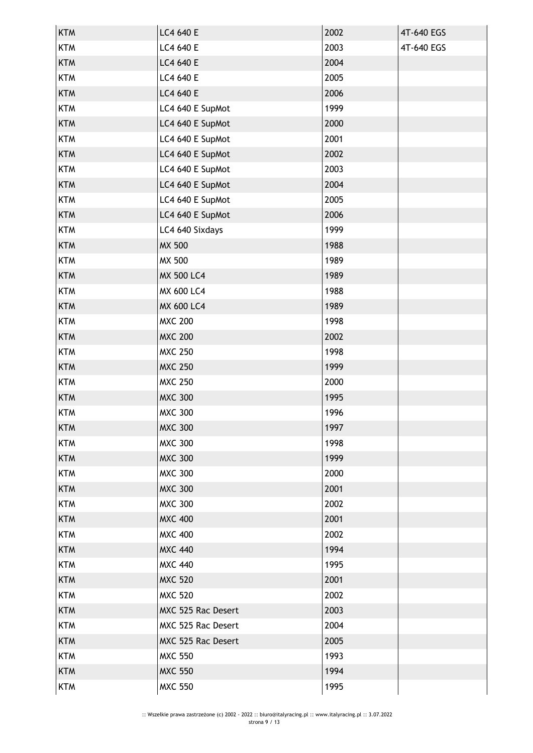| <b>KTM</b> | LC4 640 E          | 2002 | 4T-640 EGS |
|------------|--------------------|------|------------|
| <b>KTM</b> | LC4 640 E          | 2003 | 4T-640 EGS |
| <b>KTM</b> | LC4 640 E          | 2004 |            |
| <b>KTM</b> | LC4 640 E          | 2005 |            |
| <b>KTM</b> | LC4 640 E          | 2006 |            |
| <b>KTM</b> | LC4 640 E SupMot   | 1999 |            |
| <b>KTM</b> | LC4 640 E SupMot   | 2000 |            |
| <b>KTM</b> | LC4 640 E SupMot   | 2001 |            |
| <b>KTM</b> | LC4 640 E SupMot   | 2002 |            |
| <b>KTM</b> | LC4 640 E SupMot   | 2003 |            |
| <b>KTM</b> | LC4 640 E SupMot   | 2004 |            |
| <b>KTM</b> | LC4 640 E SupMot   | 2005 |            |
| <b>KTM</b> | LC4 640 E SupMot   | 2006 |            |
| <b>KTM</b> | LC4 640 Sixdays    | 1999 |            |
| <b>KTM</b> | <b>MX 500</b>      | 1988 |            |
| <b>KTM</b> | <b>MX 500</b>      | 1989 |            |
| <b>KTM</b> | <b>MX 500 LC4</b>  | 1989 |            |
| <b>KTM</b> | MX 600 LC4         | 1988 |            |
| <b>KTM</b> | <b>MX 600 LC4</b>  | 1989 |            |
| <b>KTM</b> | <b>MXC 200</b>     | 1998 |            |
| <b>KTM</b> | <b>MXC 200</b>     | 2002 |            |
| <b>KTM</b> | <b>MXC 250</b>     | 1998 |            |
| <b>KTM</b> | <b>MXC 250</b>     | 1999 |            |
| <b>KTM</b> | <b>MXC 250</b>     | 2000 |            |
| <b>KTM</b> | <b>MXC 300</b>     | 1995 |            |
| <b>KTM</b> | <b>MXC 300</b>     | 1996 |            |
| <b>KTM</b> | <b>MXC 300</b>     | 1997 |            |
| <b>KTM</b> | <b>MXC 300</b>     | 1998 |            |
| <b>KTM</b> | <b>MXC 300</b>     | 1999 |            |
| <b>KTM</b> | <b>MXC 300</b>     | 2000 |            |
| <b>KTM</b> | <b>MXC 300</b>     | 2001 |            |
| <b>KTM</b> | <b>MXC 300</b>     | 2002 |            |
| <b>KTM</b> | <b>MXC 400</b>     | 2001 |            |
| <b>KTM</b> | <b>MXC 400</b>     | 2002 |            |
| <b>KTM</b> | <b>MXC 440</b>     | 1994 |            |
| <b>KTM</b> | <b>MXC 440</b>     | 1995 |            |
| <b>KTM</b> | <b>MXC 520</b>     | 2001 |            |
| <b>KTM</b> | <b>MXC 520</b>     | 2002 |            |
| <b>KTM</b> | MXC 525 Rac Desert | 2003 |            |
| <b>KTM</b> | MXC 525 Rac Desert | 2004 |            |
| <b>KTM</b> | MXC 525 Rac Desert | 2005 |            |
| <b>KTM</b> | <b>MXC 550</b>     | 1993 |            |
| <b>KTM</b> | <b>MXC 550</b>     | 1994 |            |
| <b>KTM</b> | <b>MXC 550</b>     | 1995 |            |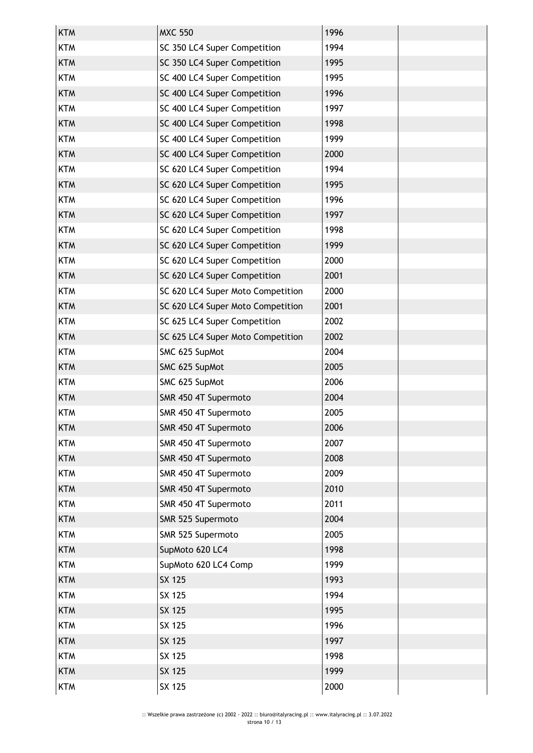| <b>KTM</b> | <b>MXC 550</b>                    | 1996 |  |
|------------|-----------------------------------|------|--|
| <b>KTM</b> | SC 350 LC4 Super Competition      | 1994 |  |
| <b>KTM</b> | SC 350 LC4 Super Competition      | 1995 |  |
| <b>KTM</b> | SC 400 LC4 Super Competition      | 1995 |  |
| <b>KTM</b> | SC 400 LC4 Super Competition      | 1996 |  |
| <b>KTM</b> | SC 400 LC4 Super Competition      | 1997 |  |
| <b>KTM</b> | SC 400 LC4 Super Competition      | 1998 |  |
| <b>KTM</b> | SC 400 LC4 Super Competition      | 1999 |  |
| <b>KTM</b> | SC 400 LC4 Super Competition      | 2000 |  |
| <b>KTM</b> | SC 620 LC4 Super Competition      | 1994 |  |
| <b>KTM</b> | SC 620 LC4 Super Competition      | 1995 |  |
| <b>KTM</b> | SC 620 LC4 Super Competition      | 1996 |  |
| <b>KTM</b> | SC 620 LC4 Super Competition      | 1997 |  |
| <b>KTM</b> | SC 620 LC4 Super Competition      | 1998 |  |
| <b>KTM</b> | SC 620 LC4 Super Competition      | 1999 |  |
| <b>KTM</b> | SC 620 LC4 Super Competition      | 2000 |  |
| <b>KTM</b> | SC 620 LC4 Super Competition      | 2001 |  |
| <b>KTM</b> | SC 620 LC4 Super Moto Competition | 2000 |  |
| <b>KTM</b> | SC 620 LC4 Super Moto Competition | 2001 |  |
| <b>KTM</b> | SC 625 LC4 Super Competition      | 2002 |  |
| <b>KTM</b> | SC 625 LC4 Super Moto Competition | 2002 |  |
| <b>KTM</b> | SMC 625 SupMot                    | 2004 |  |
| <b>KTM</b> | SMC 625 SupMot                    | 2005 |  |
| <b>KTM</b> | SMC 625 SupMot                    | 2006 |  |
| <b>KTM</b> | SMR 450 4T Supermoto              | 2004 |  |
| <b>KTM</b> | SMR 450 4T Supermoto              | 2005 |  |
| <b>KTM</b> | SMR 450 4T Supermoto              | 2006 |  |
| <b>KTM</b> | SMR 450 4T Supermoto              | 2007 |  |
| <b>KTM</b> | SMR 450 4T Supermoto              | 2008 |  |
| <b>KTM</b> | SMR 450 4T Supermoto              | 2009 |  |
| <b>KTM</b> | SMR 450 4T Supermoto              | 2010 |  |
| <b>KTM</b> | SMR 450 4T Supermoto              | 2011 |  |
| <b>KTM</b> | SMR 525 Supermoto                 | 2004 |  |
| <b>KTM</b> | SMR 525 Supermoto                 | 2005 |  |
| <b>KTM</b> | SupMoto 620 LC4                   | 1998 |  |
| <b>KTM</b> | SupMoto 620 LC4 Comp              | 1999 |  |
| <b>KTM</b> | SX 125                            | 1993 |  |
| <b>KTM</b> | SX 125                            | 1994 |  |
| <b>KTM</b> | SX 125                            | 1995 |  |
| <b>KTM</b> | SX 125                            | 1996 |  |
| <b>KTM</b> | <b>SX 125</b>                     | 1997 |  |
| <b>KTM</b> | SX 125                            | 1998 |  |
| <b>KTM</b> | SX 125                            | 1999 |  |
| <b>KTM</b> | SX 125                            | 2000 |  |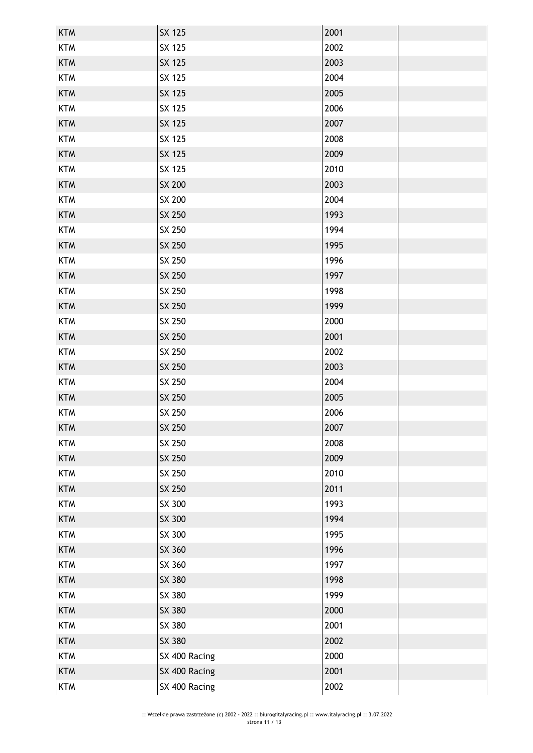| <b>KTM</b> | SX 125        | 2001 |  |
|------------|---------------|------|--|
| <b>KTM</b> | SX 125        | 2002 |  |
| <b>KTM</b> | SX 125        | 2003 |  |
| <b>KTM</b> | SX 125        | 2004 |  |
| <b>KTM</b> | SX 125        | 2005 |  |
| <b>KTM</b> | SX 125        | 2006 |  |
| <b>KTM</b> | SX 125        | 2007 |  |
| <b>KTM</b> | SX 125        | 2008 |  |
| <b>KTM</b> | SX 125        | 2009 |  |
| <b>KTM</b> | SX 125        | 2010 |  |
| <b>KTM</b> | SX 200        | 2003 |  |
| <b>KTM</b> | SX 200        | 2004 |  |
| <b>KTM</b> | SX 250        | 1993 |  |
| <b>KTM</b> | SX 250        | 1994 |  |
| <b>KTM</b> | SX 250        | 1995 |  |
| <b>KTM</b> | SX 250        | 1996 |  |
| <b>KTM</b> | SX 250        | 1997 |  |
| <b>KTM</b> | SX 250        | 1998 |  |
| <b>KTM</b> | SX 250        | 1999 |  |
| <b>KTM</b> | SX 250        | 2000 |  |
| <b>KTM</b> | SX 250        | 2001 |  |
| <b>KTM</b> | SX 250        | 2002 |  |
| <b>KTM</b> | SX 250        | 2003 |  |
| <b>KTM</b> | SX 250        | 2004 |  |
| <b>KTM</b> | SX 250        | 2005 |  |
| <b>KTM</b> | SX 250        | 2006 |  |
| <b>KTM</b> | SX 250        | 2007 |  |
| <b>KTM</b> | SX 250        | 2008 |  |
| <b>KTM</b> | SX 250        | 2009 |  |
| <b>KTM</b> | SX 250        | 2010 |  |
| <b>KTM</b> | SX 250        | 2011 |  |
| <b>KTM</b> | SX 300        | 1993 |  |
| <b>KTM</b> | SX 300        | 1994 |  |
| <b>KTM</b> | SX 300        | 1995 |  |
| <b>KTM</b> | SX 360        | 1996 |  |
| <b>KTM</b> | SX 360        | 1997 |  |
| <b>KTM</b> | SX 380        | 1998 |  |
| <b>KTM</b> | SX 380        | 1999 |  |
| <b>KTM</b> | SX 380        | 2000 |  |
| <b>KTM</b> | SX 380        | 2001 |  |
| <b>KTM</b> | SX 380        | 2002 |  |
| <b>KTM</b> | SX 400 Racing | 2000 |  |
| <b>KTM</b> | SX 400 Racing | 2001 |  |
| <b>KTM</b> | SX 400 Racing | 2002 |  |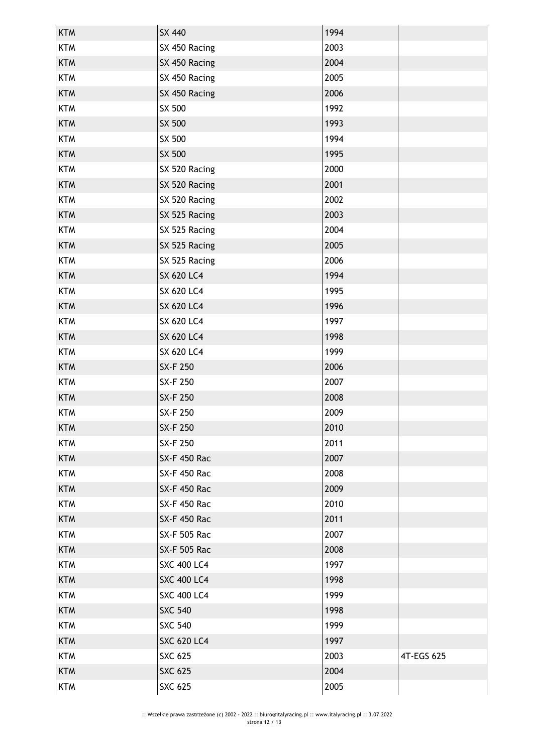| <b>KTM</b> | SX 440              | 1994 |            |
|------------|---------------------|------|------------|
| <b>KTM</b> | SX 450 Racing       | 2003 |            |
| <b>KTM</b> | SX 450 Racing       | 2004 |            |
| <b>KTM</b> | SX 450 Racing       | 2005 |            |
| <b>KTM</b> | SX 450 Racing       | 2006 |            |
| <b>KTM</b> | SX 500              | 1992 |            |
| <b>KTM</b> | SX 500              | 1993 |            |
| <b>KTM</b> | SX 500              | 1994 |            |
| <b>KTM</b> | SX 500              | 1995 |            |
| <b>KTM</b> | SX 520 Racing       | 2000 |            |
| <b>KTM</b> | SX 520 Racing       | 2001 |            |
| <b>KTM</b> | SX 520 Racing       | 2002 |            |
| <b>KTM</b> | SX 525 Racing       | 2003 |            |
| <b>KTM</b> | SX 525 Racing       | 2004 |            |
| <b>KTM</b> | SX 525 Racing       | 2005 |            |
| <b>KTM</b> | SX 525 Racing       | 2006 |            |
| <b>KTM</b> | <b>SX 620 LC4</b>   | 1994 |            |
| <b>KTM</b> | <b>SX 620 LC4</b>   | 1995 |            |
| <b>KTM</b> | <b>SX 620 LC4</b>   | 1996 |            |
| <b>KTM</b> | <b>SX 620 LC4</b>   | 1997 |            |
| <b>KTM</b> | <b>SX 620 LC4</b>   | 1998 |            |
| <b>KTM</b> | <b>SX 620 LC4</b>   | 1999 |            |
| <b>KTM</b> | SX-F 250            | 2006 |            |
| <b>KTM</b> | SX-F 250            | 2007 |            |
| <b>KTM</b> | SX-F 250            | 2008 |            |
| <b>KTM</b> | SX-F 250            | 2009 |            |
| <b>KTM</b> | SX-F 250            | 2010 |            |
| <b>KTM</b> | SX-F 250            | 2011 |            |
| <b>KTM</b> | <b>SX-F 450 Rac</b> | 2007 |            |
| <b>KTM</b> | <b>SX-F 450 Rac</b> | 2008 |            |
| <b>KTM</b> | <b>SX-F 450 Rac</b> | 2009 |            |
| <b>KTM</b> | <b>SX-F 450 Rac</b> | 2010 |            |
| <b>KTM</b> | <b>SX-F 450 Rac</b> | 2011 |            |
| <b>KTM</b> | <b>SX-F 505 Rac</b> | 2007 |            |
| <b>KTM</b> | <b>SX-F 505 Rac</b> | 2008 |            |
| <b>KTM</b> | <b>SXC 400 LC4</b>  | 1997 |            |
| <b>KTM</b> | <b>SXC 400 LC4</b>  | 1998 |            |
| <b>KTM</b> | <b>SXC 400 LC4</b>  | 1999 |            |
| <b>KTM</b> | <b>SXC 540</b>      | 1998 |            |
| <b>KTM</b> | <b>SXC 540</b>      | 1999 |            |
| <b>KTM</b> | <b>SXC 620 LC4</b>  | 1997 |            |
| <b>KTM</b> | <b>SXC 625</b>      | 2003 | 4T-EGS 625 |
| <b>KTM</b> | <b>SXC 625</b>      | 2004 |            |
| <b>KTM</b> | <b>SXC 625</b>      | 2005 |            |